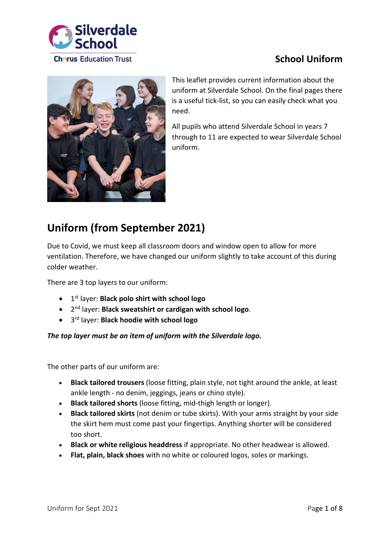



This leaflet provides current information about the uniform at Silverdale School. On the final pages there is a useful tick-list, so you can easily check what you need.

All pupils who attend Silverdale School in years 7 through to 11 are expected to wear Silverdale School uniform.

# **Uniform (from September 2021)**

Due to Covid, we must keep all classroom doors and window open to allow for more ventilation. Therefore, we have changed our uniform slightly to take account of this during colder weather.

There are 3 top layers to our uniform:

- 1st layer: **Black polo shirt with school logo**
- 2nd layer: **Black sweatshirt or cardigan with school logo**.
- 3rd layer: **Black hoodie with school logo**

*The top layer must be an item of uniform with the Silverdale logo.*

The other parts of our uniform are:

- **Black tailored trousers** (loose fitting, plain style, not tight around the ankle, at least ankle length - no denim, jeggings, jeans or chino style).
- **Black tailored shorts** (loose fitting, mid-thigh length or longer).
- **Black tailored skirts** (not denim or tube skirts). With your arms straight by your side the skirt hem must come past your fingertips. Anything shorter will be considered too short.
- **Black or white religious headdress** if appropriate. No other headwear is allowed.
- **Flat, plain, black shoes** with no white or coloured logos, soles or markings.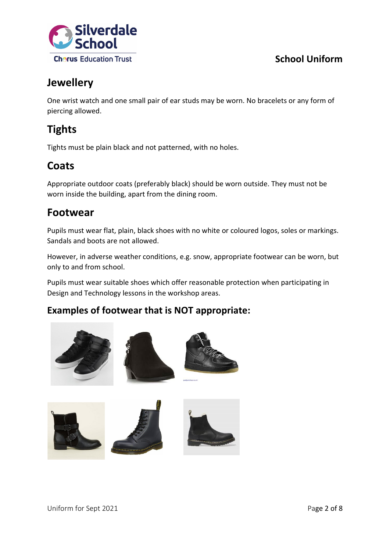

### **Jewellery**

One wrist watch and one small pair of ear studs may be worn. No bracelets or any form of piercing allowed.

# **Tights**

Tights must be plain black and not patterned, with no holes.

### **Coats**

Appropriate outdoor coats (preferably black) should be worn outside. They must not be worn inside the building, apart from the dining room.

### **Footwear**

Pupils must wear flat, plain, black shoes with no white or coloured logos, soles or markings. Sandals and boots are not allowed.

However, in adverse weather conditions, e.g. snow, appropriate footwear can be worn, but only to and from school.

Pupils must wear suitable shoes which offer reasonable protection when participating in Design and Technology lessons in the workshop areas.

### **Examples of footwear that is NOT appropriate:**

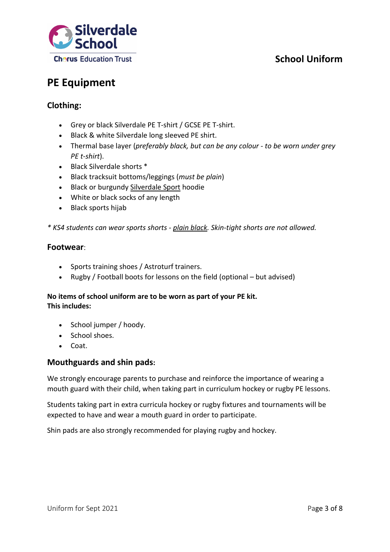

# **PE Equipment**

### **Clothing:**

- Grey or black Silverdale PE T-shirt / GCSE PE T-shirt.
- Black & white Silverdale long sleeved PE shirt.
- Thermal base layer (*preferably black, but can be any colour - to be worn under grey PE t-shirt*).
- Black Silverdale shorts \*
- Black tracksuit bottoms/leggings (*must be plain*)
- Black or burgundy Silverdale Sport hoodie
- White or black socks of any length
- Black sports hijab

*\* KS4 students can wear sports shorts - plain black. Skin-tight shorts are not allowed.*

#### **Footwear**:

- Sports training shoes / Astroturf trainers.
- Rugby / Football boots for lessons on the field (optional but advised)

#### **No items of school uniform are to be worn as part of your PE kit. This includes:**

- School jumper / hoody.
- School shoes.
- Coat.

#### **Mouthguards and shin pads:**

We strongly encourage parents to purchase and reinforce the importance of wearing a mouth guard with their child, when taking part in curriculum hockey or rugby PE lessons.

Students taking part in extra curricula hockey or rugby fixtures and tournaments will be expected to have and wear a mouth guard in order to participate.

Shin pads are also strongly recommended for playing rugby and hockey.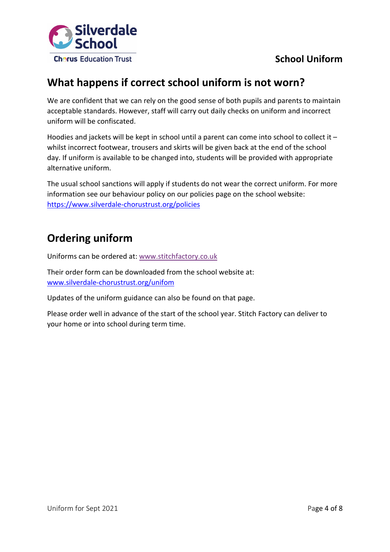

### **What happens if correct school uniform is not worn?**

We are confident that we can rely on the good sense of both pupils and parents to maintain acceptable standards. However, staff will carry out daily checks on uniform and incorrect uniform will be confiscated.

Hoodies and jackets will be kept in school until a parent can come into school to collect it whilst incorrect footwear, trousers and skirts will be given back at the end of the school day. If uniform is available to be changed into, students will be provided with appropriate alternative uniform.

The usual school sanctions will apply if students do not wear the correct uniform. For more information see our behaviour policy on our policies page on the school website: <https://www.silverdale-chorustrust.org/policies>

# **Ordering uniform**

Uniforms can be ordered at: [www.stitchfactory.co.uk](http://www.stitchfactory.co.uk/acatalog/silverdale-school-uniform.html)

Their order form can be downloaded from the school website at: [www.silverdale-chorustrust.org/unifom](http://www.silverdale-chorustrust.org/unifom)

Updates of the uniform guidance can also be found on that page.

Please order well in advance of the start of the school year. Stitch Factory can deliver to your home or into school during term time.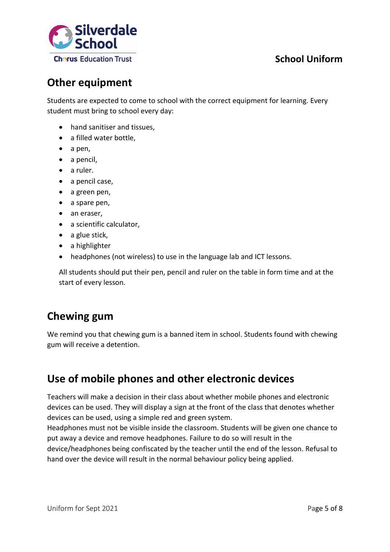



# **Other equipment**

Students are expected to come to school with the correct equipment for learning. Every student must bring to school every day:

- hand sanitiser and tissues,
- a filled water bottle,
- a pen,
- a pencil,
- a ruler.
- a pencil case,
- a green pen,
- a spare pen,
- an eraser,
- a scientific calculator,
- a glue stick,
- a highlighter
- headphones (not wireless) to use in the language lab and ICT lessons.

All students should put their pen, pencil and ruler on the table in form time and at the start of every lesson.

# **Chewing gum**

We remind you that chewing gum is a banned item in school. Students found with chewing gum will receive a detention.

### **Use of mobile phones and other electronic devices**

Teachers will make a decision in their class about whether mobile phones and electronic devices can be used. They will display a sign at the front of the class that denotes whether devices can be used, using a simple red and green system.

Headphones must not be visible inside the classroom. Students will be given one chance to put away a device and remove headphones. Failure to do so will result in the device/headphones being confiscated by the teacher until the end of the lesson. Refusal to hand over the device will result in the normal behaviour policy being applied.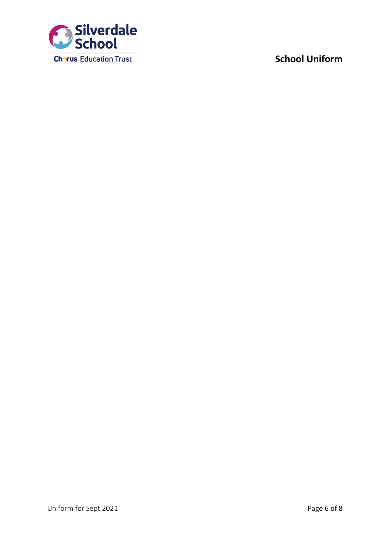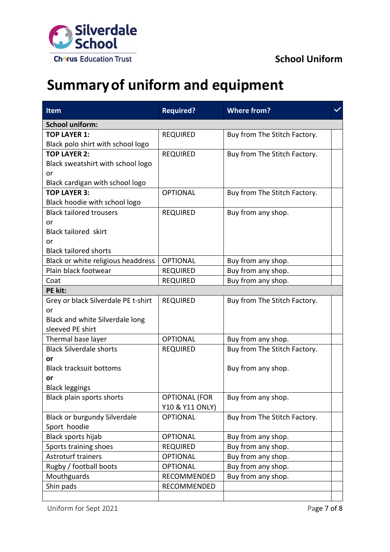

# **Summaryof uniform and equipment**

| Item                                | <b>Required?</b> | <b>Where from?</b>           |  |
|-------------------------------------|------------------|------------------------------|--|
| <b>School uniform:</b>              |                  |                              |  |
| <b>TOP LAYER 1:</b>                 | <b>REQUIRED</b>  | Buy from The Stitch Factory. |  |
| Black polo shirt with school logo   |                  |                              |  |
| <b>TOP LAYER 2:</b>                 | <b>REQUIRED</b>  | Buy from The Stitch Factory. |  |
| Black sweatshirt with school logo   |                  |                              |  |
| or                                  |                  |                              |  |
| Black cardigan with school logo     |                  |                              |  |
| <b>TOP LAYER 3:</b>                 | <b>OPTIONAL</b>  | Buy from The Stitch Factory. |  |
| Black hoodie with school logo       |                  |                              |  |
| <b>Black tailored trousers</b>      | <b>REQUIRED</b>  | Buy from any shop.           |  |
| or                                  |                  |                              |  |
| <b>Black tailored skirt</b>         |                  |                              |  |
| or                                  |                  |                              |  |
| <b>Black tailored shorts</b>        |                  |                              |  |
| Black or white religious headdress  | <b>OPTIONAL</b>  | Buy from any shop.           |  |
| Plain black footwear                | <b>REQUIRED</b>  | Buy from any shop.           |  |
| Coat                                | <b>REQUIRED</b>  | Buy from any shop.           |  |
| PE kit:                             |                  |                              |  |
| Grey or black Silverdale PE t-shirt | <b>REQUIRED</b>  | Buy from The Stitch Factory. |  |
| or                                  |                  |                              |  |
| Black and white Silverdale long     |                  |                              |  |
| sleeved PE shirt                    |                  |                              |  |
| Thermal base layer                  | <b>OPTIONAL</b>  | Buy from any shop.           |  |
| <b>Black Silverdale shorts</b>      | <b>REQUIRED</b>  | Buy from The Stitch Factory. |  |
| or                                  |                  |                              |  |
| <b>Black tracksuit bottoms</b>      |                  | Buy from any shop.           |  |
| or                                  |                  |                              |  |
| <b>Black leggings</b>               |                  |                              |  |
| Black plain sports shorts           | OPTIONAL (FOR    | Buy from any shop.           |  |
|                                     | Y10 & Y11 ONLY)  |                              |  |
| <b>Black or burgundy Silverdale</b> | <b>OPTIONAL</b>  | Buy from The Stitch Factory. |  |
| Sport hoodie                        |                  |                              |  |
| Black sports hijab                  | <b>OPTIONAL</b>  | Buy from any shop.           |  |
| Sports training shoes               | <b>REQUIRED</b>  | Buy from any shop.           |  |
| <b>Astroturf trainers</b>           | <b>OPTIONAL</b>  | Buy from any shop.           |  |
| Rugby / football boots              | <b>OPTIONAL</b>  | Buy from any shop.           |  |
| Mouthguards                         | RECOMMENDED      | Buy from any shop.           |  |
| Shin pads                           | RECOMMENDED      |                              |  |
|                                     |                  |                              |  |